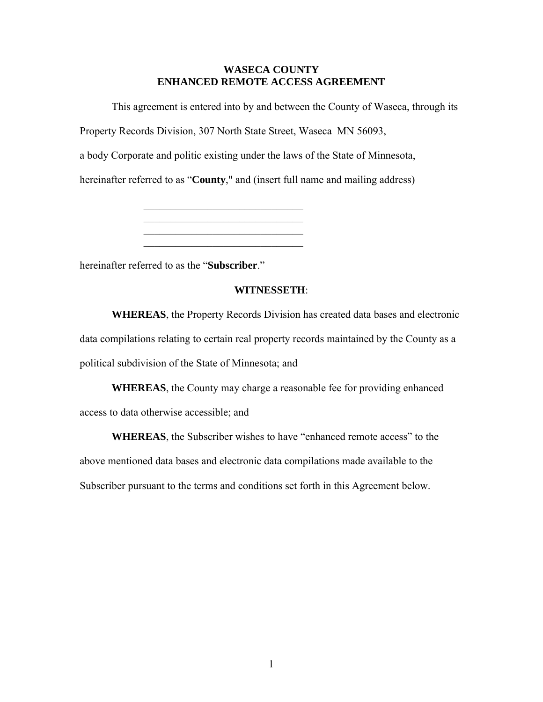# **WASECA COUNTY ENHANCED REMOTE ACCESS AGREEMENT**

This agreement is entered into by and between the County of Waseca, through its

Property Records Division, 307 North State Street, Waseca MN 56093,

\_\_\_\_\_\_\_\_\_\_\_\_\_\_\_\_\_\_\_\_\_\_\_\_\_\_\_\_\_\_ \_\_\_\_\_\_\_\_\_\_\_\_\_\_\_\_\_\_\_\_\_\_\_\_\_\_\_\_\_\_ \_\_\_\_\_\_\_\_\_\_\_\_\_\_\_\_\_\_\_\_\_\_\_\_\_\_\_\_\_\_

a body Corporate and politic existing under the laws of the State of Minnesota,

hereinafter referred to as "**County**," and (insert full name and mailing address)

hereinafter referred to as the "**Subscriber**."

# **WITNESSETH**:

**WHEREAS**, the Property Records Division has created data bases and electronic data compilations relating to certain real property records maintained by the County as a political subdivision of the State of Minnesota; and

**WHEREAS**, the County may charge a reasonable fee for providing enhanced access to data otherwise accessible; and

**WHEREAS**, the Subscriber wishes to have "enhanced remote access" to the above mentioned data bases and electronic data compilations made available to the Subscriber pursuant to the terms and conditions set forth in this Agreement below.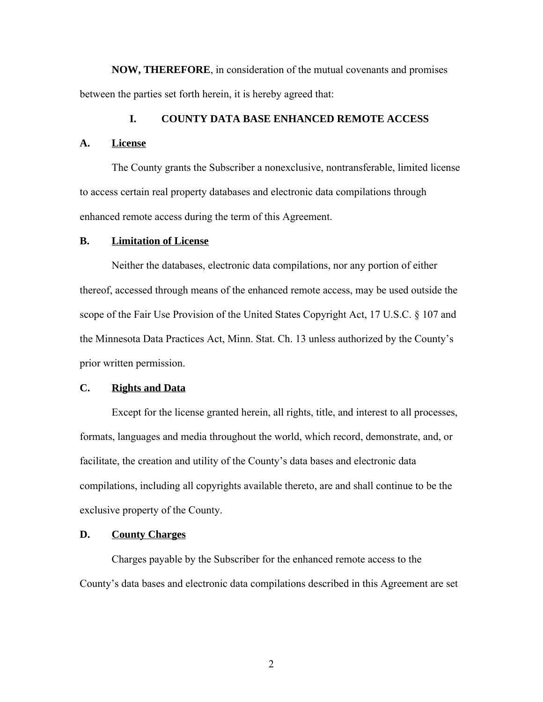**NOW, THEREFORE**, in consideration of the mutual covenants and promises between the parties set forth herein, it is hereby agreed that:

# **I. COUNTY DATA BASE ENHANCED REMOTE ACCESS**

#### **A. License**

The County grants the Subscriber a nonexclusive, nontransferable, limited license to access certain real property databases and electronic data compilations through enhanced remote access during the term of this Agreement.

#### **B. Limitation of License**

Neither the databases, electronic data compilations, nor any portion of either thereof, accessed through means of the enhanced remote access, may be used outside the scope of the Fair Use Provision of the United States Copyright Act, 17 U.S.C. § 107 and the Minnesota Data Practices Act, Minn. Stat. Ch. 13 unless authorized by the County's prior written permission.

# **C. Rights and Data**

Except for the license granted herein, all rights, title, and interest to all processes, formats, languages and media throughout the world, which record, demonstrate, and, or facilitate, the creation and utility of the County's data bases and electronic data compilations, including all copyrights available thereto, are and shall continue to be the exclusive property of the County.

# **D. County Charges**

Charges payable by the Subscriber for the enhanced remote access to the County's data bases and electronic data compilations described in this Agreement are set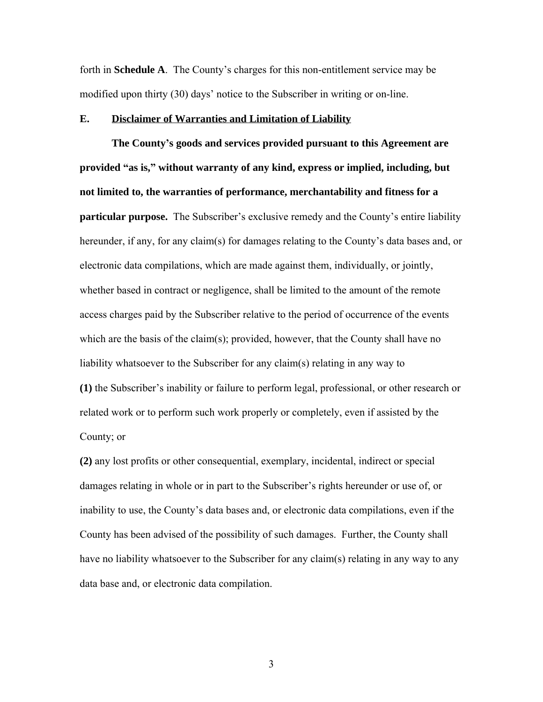forth in **Schedule A**. The County's charges for this non-entitlement service may be modified upon thirty (30) days' notice to the Subscriber in writing or on-line.

# **E. Disclaimer of Warranties and Limitation of Liability**

**The County's goods and services provided pursuant to this Agreement are provided "as is," without warranty of any kind, express or implied, including, but not limited to, the warranties of performance, merchantability and fitness for a particular purpose.** The Subscriber's exclusive remedy and the County's entire liability hereunder, if any, for any claim(s) for damages relating to the County's data bases and, or electronic data compilations, which are made against them, individually, or jointly, whether based in contract or negligence, shall be limited to the amount of the remote access charges paid by the Subscriber relative to the period of occurrence of the events which are the basis of the claim(s); provided, however, that the County shall have no liability whatsoever to the Subscriber for any claim(s) relating in any way to **(1)** the Subscriber's inability or failure to perform legal, professional, or other research or related work or to perform such work properly or completely, even if assisted by the County; or

**(2)** any lost profits or other consequential, exemplary, incidental, indirect or special damages relating in whole or in part to the Subscriber's rights hereunder or use of, or inability to use, the County's data bases and, or electronic data compilations, even if the County has been advised of the possibility of such damages. Further, the County shall have no liability whatsoever to the Subscriber for any claim(s) relating in any way to any data base and, or electronic data compilation.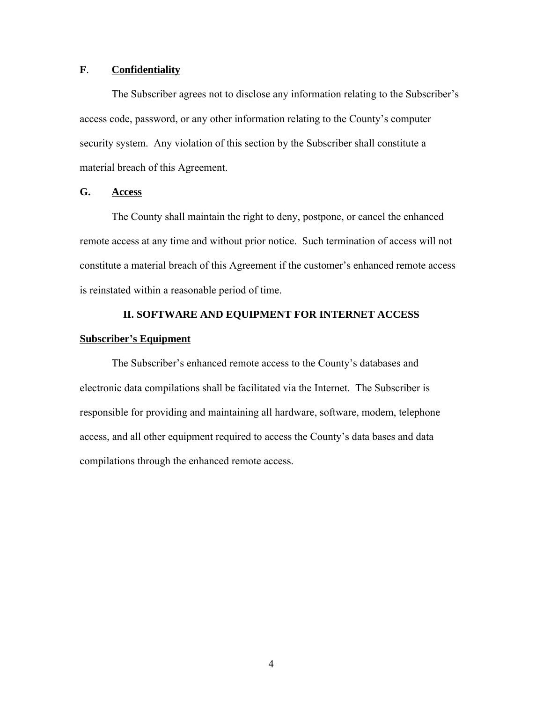# **F**. **Confidentiality**

The Subscriber agrees not to disclose any information relating to the Subscriber's access code, password, or any other information relating to the County's computer security system. Any violation of this section by the Subscriber shall constitute a material breach of this Agreement.

# **G. Access**

The County shall maintain the right to deny, postpone, or cancel the enhanced remote access at any time and without prior notice. Such termination of access will not constitute a material breach of this Agreement if the customer's enhanced remote access is reinstated within a reasonable period of time.

# **II. SOFTWARE AND EQUIPMENT FOR INTERNET ACCESS Subscriber's Equipment**

The Subscriber's enhanced remote access to the County's databases and electronic data compilations shall be facilitated via the Internet. The Subscriber is responsible for providing and maintaining all hardware, software, modem, telephone access, and all other equipment required to access the County's data bases and data compilations through the enhanced remote access.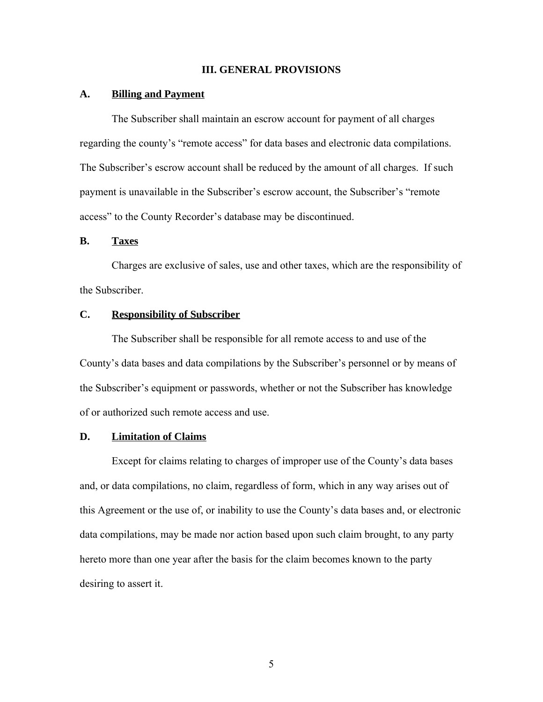#### **III. GENERAL PROVISIONS**

#### **A. Billing and Payment**

The Subscriber shall maintain an escrow account for payment of all charges regarding the county's "remote access" for data bases and electronic data compilations. The Subscriber's escrow account shall be reduced by the amount of all charges. If such payment is unavailable in the Subscriber's escrow account, the Subscriber's "remote access" to the County Recorder's database may be discontinued.

# **B. Taxes**

Charges are exclusive of sales, use and other taxes, which are the responsibility of the Subscriber.

# **C. Responsibility of Subscriber**

The Subscriber shall be responsible for all remote access to and use of the County's data bases and data compilations by the Subscriber's personnel or by means of the Subscriber's equipment or passwords, whether or not the Subscriber has knowledge of or authorized such remote access and use.

# **D. Limitation of Claims**

Except for claims relating to charges of improper use of the County's data bases and, or data compilations, no claim, regardless of form, which in any way arises out of this Agreement or the use of, or inability to use the County's data bases and, or electronic data compilations, may be made nor action based upon such claim brought, to any party hereto more than one year after the basis for the claim becomes known to the party desiring to assert it.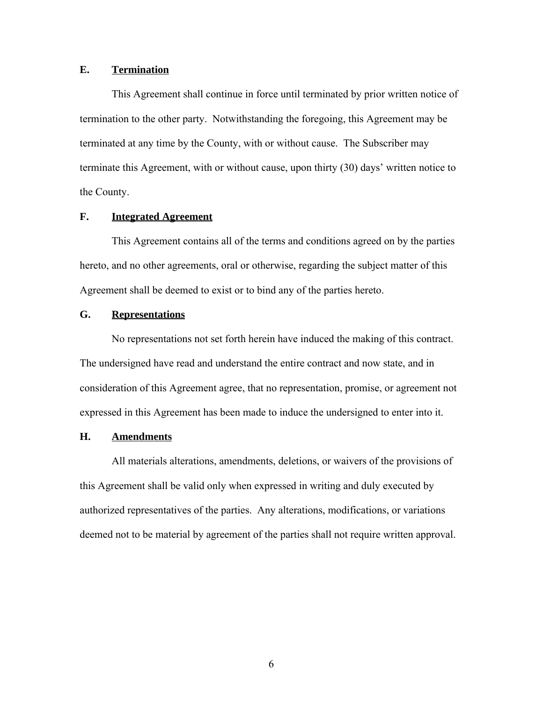# **E. Termination**

This Agreement shall continue in force until terminated by prior written notice of termination to the other party. Notwithstanding the foregoing, this Agreement may be terminated at any time by the County, with or without cause. The Subscriber may terminate this Agreement, with or without cause, upon thirty (30) days' written notice to the County.

# **F. Integrated Agreement**

This Agreement contains all of the terms and conditions agreed on by the parties hereto, and no other agreements, oral or otherwise, regarding the subject matter of this Agreement shall be deemed to exist or to bind any of the parties hereto.

#### **G. Representations**

No representations not set forth herein have induced the making of this contract. The undersigned have read and understand the entire contract and now state, and in consideration of this Agreement agree, that no representation, promise, or agreement not expressed in this Agreement has been made to induce the undersigned to enter into it.

# **H. Amendments**

All materials alterations, amendments, deletions, or waivers of the provisions of this Agreement shall be valid only when expressed in writing and duly executed by authorized representatives of the parties. Any alterations, modifications, or variations deemed not to be material by agreement of the parties shall not require written approval.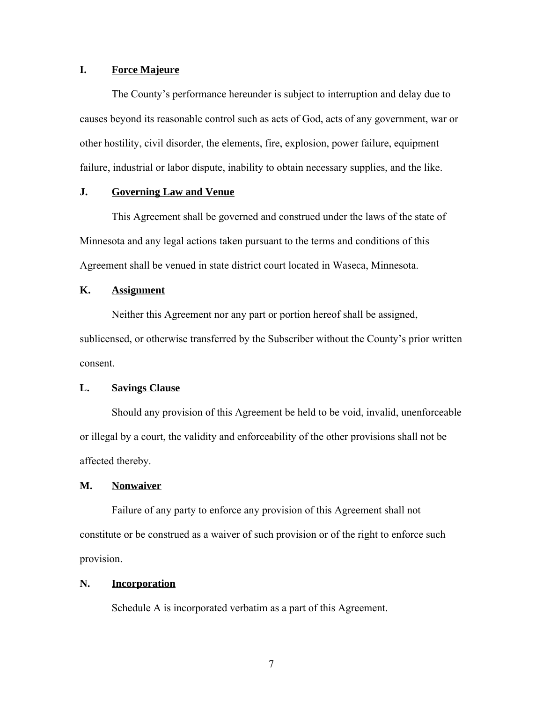# **I. Force Majeure**

The County's performance hereunder is subject to interruption and delay due to causes beyond its reasonable control such as acts of God, acts of any government, war or other hostility, civil disorder, the elements, fire, explosion, power failure, equipment failure, industrial or labor dispute, inability to obtain necessary supplies, and the like.

# **J. Governing Law and Venue**

This Agreement shall be governed and construed under the laws of the state of Minnesota and any legal actions taken pursuant to the terms and conditions of this Agreement shall be venued in state district court located in Waseca, Minnesota.

# **K. Assignment**

Neither this Agreement nor any part or portion hereof shall be assigned, sublicensed, or otherwise transferred by the Subscriber without the County's prior written consent.

# **L. Savings Clause**

Should any provision of this Agreement be held to be void, invalid, unenforceable or illegal by a court, the validity and enforceability of the other provisions shall not be affected thereby.

#### **M. Nonwaiver**

Failure of any party to enforce any provision of this Agreement shall not constitute or be construed as a waiver of such provision or of the right to enforce such provision.

# **N. Incorporation**

Schedule A is incorporated verbatim as a part of this Agreement.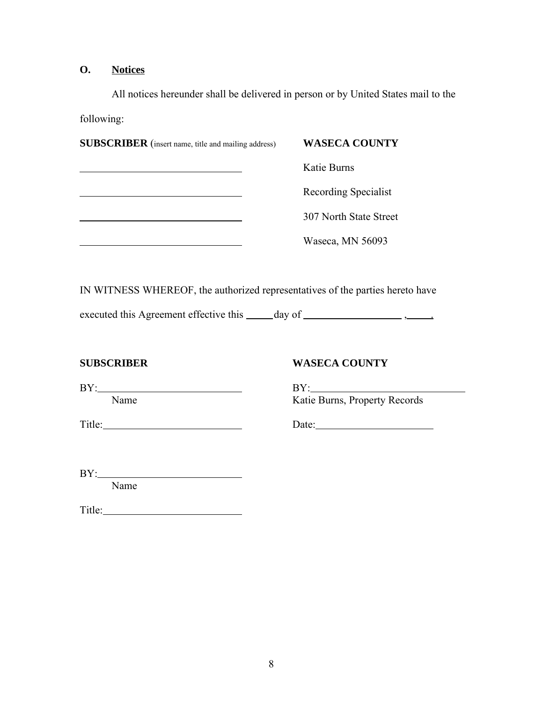# **O. Notices**

All notices hereunder shall be delivered in person or by United States mail to the following:

| <b>SUBSCRIBER</b> (insert name, title and mailing address)                    | <b>WASECA COUNTY</b>                 |
|-------------------------------------------------------------------------------|--------------------------------------|
|                                                                               | Katie Burns                          |
|                                                                               | Recording Specialist                 |
| <u> 1990 - Jan Barnett, fransk politiker (d. 1980)</u>                        | 307 North State Street               |
| <u> 1989 - Johann Barn, mars an t-Amerikaansk politiker (</u>                 | Waseca, MN 56093                     |
|                                                                               |                                      |
| IN WITNESS WHEREOF, the authorized representatives of the parties hereto have |                                      |
|                                                                               |                                      |
| <b>SUBSCRIBER</b>                                                             | <b>WASECA COUNTY</b>                 |
| Name                                                                          | BY:<br>Katie Burns, Property Records |
| $Title:$ $\qquad \qquad$                                                      | Date: $\qquad \qquad$                |
| BY:                                                                           |                                      |
| Name                                                                          |                                      |

Title: